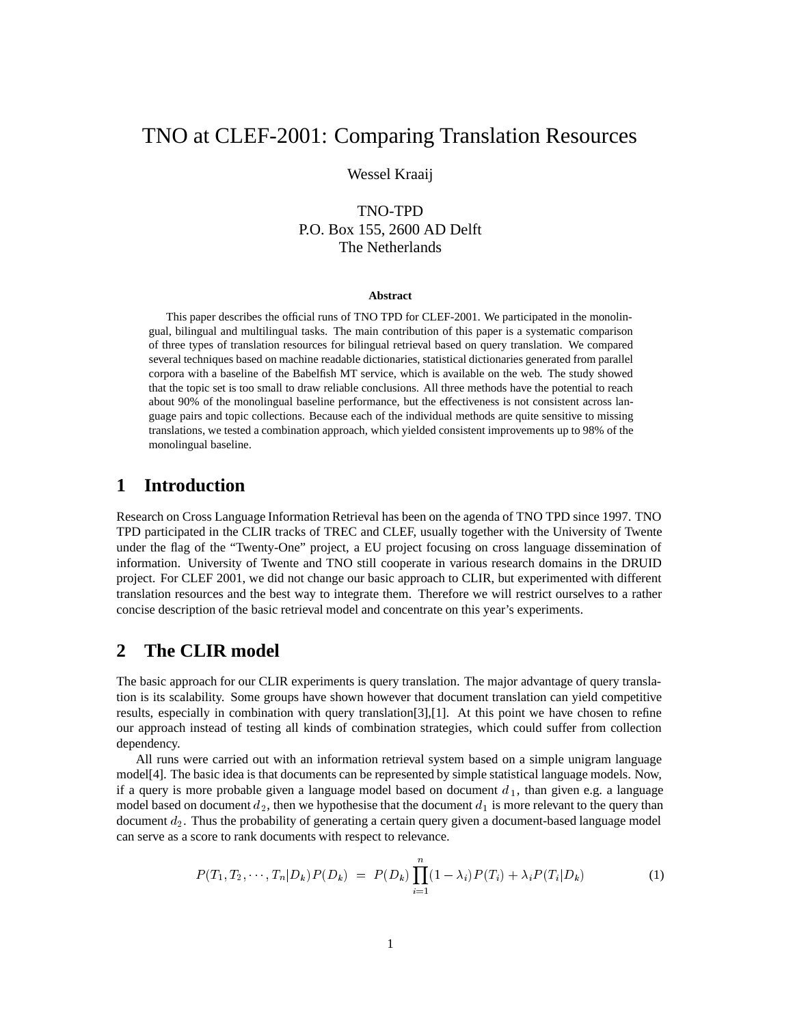# TNO at CLEF-2001: Comparing Translation Resources

Wessel Kraaij

#### TNO-TPD P.O. Box 155, 2600 AD Delft The Netherlands

#### **Abstract**

This paper describes the official runs of TNO TPD for CLEF-2001. We participated in the monolingual, bilingual and multilingual tasks. The main contribution of this paper is a systematic comparison of three types of translation resources for bilingual retrieval based on query translation. We compared several techniques based on machine readable dictionaries, statistical dictionaries generated from parallel corpora with a baseline of the Babelfish MT service, which is available on the web. The study showed that the topic set is too small to draw reliable conclusions. All three methods have the potential to reach about 90% of the monolingual baseline performance, but the effectiveness is not consistent across language pairs and topic collections. Because each of the individual methods are quite sensitive to missing translations, we tested a combination approach, which yielded consistent improvements up to 98% of the monolingual baseline.

#### **1 Introduction**

Research on Cross Language Information Retrieval has been on the agenda of TNO TPD since 1997. TNO TPD participated in the CLIR tracks of TREC and CLEF, usually together with the University of Twente under the flag of the "Twenty-One" project, a EU project focusing on cross language dissemination of information. University of Twente and TNO still cooperate in various research domains in the DRUID project. For CLEF 2001, we did not change our basic approach to CLIR, but experimented with different translation resources and the best way to integrate them. Therefore we will restrict ourselves to a rather concise description of the basic retrieval model and concentrate on this year's experiments.

#### **2 The CLIR model**

The basic approach for our CLIR experiments is query translation. The major advantage of query translation is its scalability. Some groups have shown however that document translation can yield competitive results, especially in combination with query translation[3],[1]. At this point we have chosen to refine our approach instead of testing all kinds of combination strategies, which could suffer from collection dependency.

All runs were carried out with an information retrieval system based on a simple unigram language model[4]. The basic idea is that documents can be represented by simple statistical language models. Now, if a query is more probable given a language model based on document  $d_1$ , than given e.g. a language model based on document  $d_2$ , then we hypothesise that the document  $d_1$  is more relevant to the query than document  $d_2$ . Thus the probability of generating a certain query given a document-based language model can serve as a score to rank documents with respect to relevance.

$$
P(T_1, T_2, \cdots, T_n | D_k) P(D_k) = P(D_k) \prod_{i=1}^n (1 - \lambda_i) P(T_i) + \lambda_i P(T_i | D_k)
$$
 (1)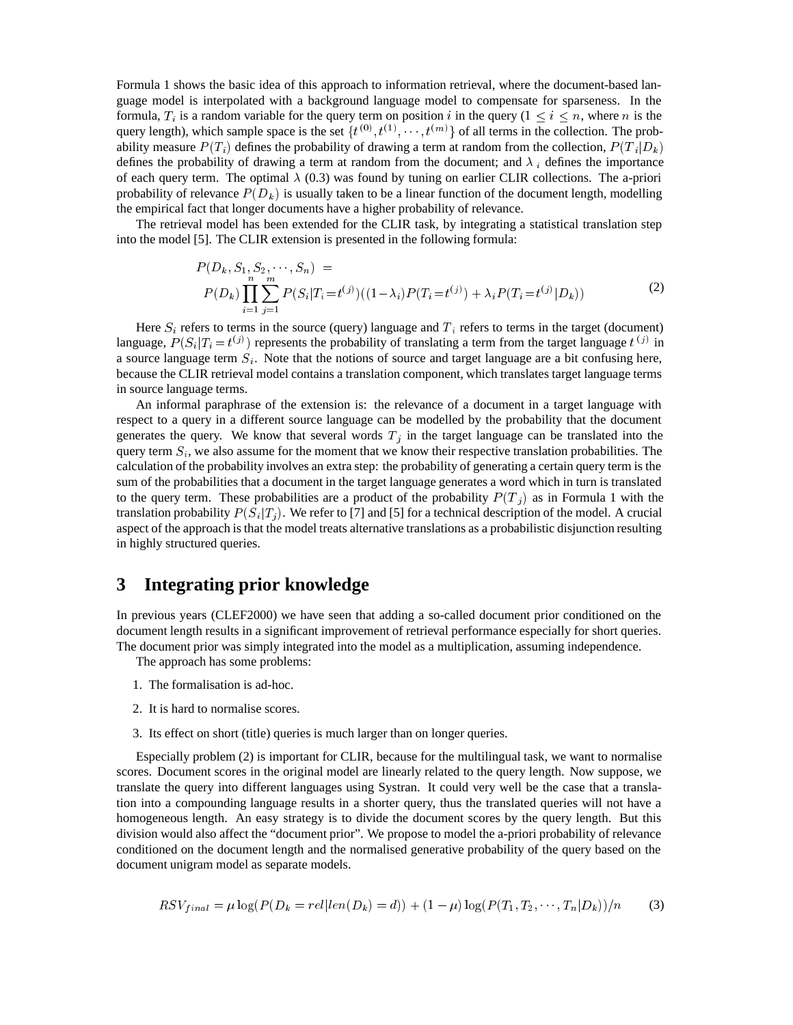Formula 1 shows the basic idea of this approach to information retrieval, where the document-based language model is interpolated with a background language model to compensate for sparseness. In the formula,  $T_i$  is a random variable for the query term on position i in the query ( $1 \le i \le n$ , where n is the query length), which sample space is the set  $\{t^{(0)}, t^{(1)}, \dots, t^{(m)}\}$  of all terms in the collection. The probability measure  $P(T_i)$  defines the probability of drawing a term at random from the collection,  $P(T_i|D_k)$ defines the probability of drawing a term at random from the document; and  $\lambda_i$  defines the importance of each query term. The optimal  $\lambda$  (0.3) was found by tuning on earlier CLIR collections. The a-priori probability of relevance  $P(D_k)$  is usually taken to be a linear function of the document length, modelling the empirical fact that longer documents have a higher probability of relevance.

The retrieval model has been extended for the CLIR task, by integrating a statistical translation step into the model [5]. The CLIR extension is presented in the following formula:

$$
P(D_k, S_1, S_2, \cdots, S_n) =
$$
  
\n
$$
P(D_k) \prod_{i=1}^{n} \sum_{j=1}^{m} P(S_i | T_i = t^{(j)}) ((1 - \lambda_i) P(T_i = t^{(j)}) + \lambda_i P(T_i = t^{(j)} | D_k))
$$
\n(2)

Here  $S_i$  refers to terms in the source (query) language and  $T_i$  refers to terms in the target (document) language,  $P(S_i|T_i = t^{(j)})$  represents the probability of translating a term from the target language  $t^{(j)}$  in a source language term  $S_i$ . Note that the notions of source and target language are a bit confusing here, because the CLIR retrieval model contains a translation component, which translates target language terms in source language terms.

An informal paraphrase of the extension is: the relevance of a document in a target language with respect to a query in a different source language can be modelled by the probability that the document generates the query. We know that several words  $T_i$  in the target language can be translated into the query term  $S_i$ , we also assume for the moment that we know their respective translation probabilities. The calculation of the probability involves an extra step: the probability of generating a certain query term is the sum of the probabilities that a document in the target language generates a word which in turn is translated to the query term. These probabilities are a product of the probability  $P(T_i)$  as in Formula 1 with the translation probability  $P(S_i | T_j)$ . We refer to [7] and [5] for a technical description of the model. A crucial aspect of the approach is that the model treats alternative translations as a probabilistic disjunction resulting in highly structured queries.

### **3 Integrating prior knowledge**

In previous years (CLEF2000) we have seen that adding a so-called document prior conditioned on the document length results in a significant improvement of retrieval performance especially for short queries. The document prior was simply integrated into the model as a multiplication, assuming independence.

The approach has some problems:

- 1. The formalisation is ad-hoc.
- 2. It is hard to normalise scores.
- 3. Its effect on short (title) queries is much larger than on longer queries.

Especially problem (2) is important for CLIR, because for the multilingual task, we want to normalise scores. Document scores in the original model are linearly related to the query length. Now suppose, we translate the query into different languages using Systran. It could very well be the case that a translation into a compounding language results in a shorter query, thus the translated queries will not have a homogeneous length. An easy strategy is to divide the document scores by the query length. But this division would also affect the "document prior". We propose to model the a-priori probability of relevance conditioned on the document length and the normalised generative probability of the query based on the document unigram model as separate models.

$$
RSV_{final} = \mu \log(P(D_k = rel|len(D_k) = d)) + (1 - \mu) \log(P(T_1, T_2, \cdots, T_n | D_k))/n \tag{3}
$$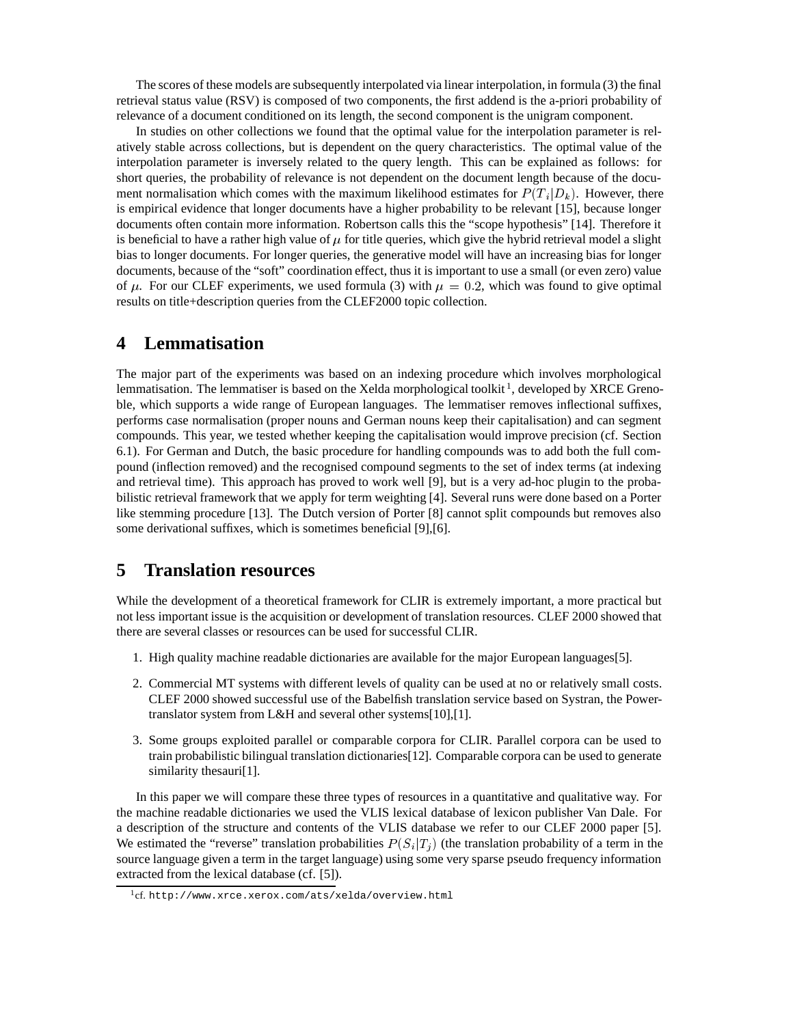The scores of these models are subsequently interpolated via linear interpolation, in formula (3) the final retrieval status value (RSV) is composed of two components, the first addend is the a-priori probability of relevance of a document conditioned on its length, the second component is the unigram component.

In studies on other collections we found that the optimal value for the interpolation parameter is relatively stable across collections, but is dependent on the query characteristics. The optimal value of the interpolation parameter is inversely related to the query length. This can be explained as follows: for short queries, the probability of relevance is not dependent on the document length because of the document normalisation which comes with the maximum likelihood estimates for  $P(T_i|D_k)$ . However, there is empirical evidence that longer documents have a higher probability to be relevant [15], because longer documents often contain more information. Robertson calls this the "scope hypothesis" [14]. Therefore it is beneficial to have a rather high value of  $\mu$  for title queries, which give the hybrid retrieval model a slight bias to longer documents. For longer queries, the generative model will have an increasing bias for longer documents, because of the "soft" coordination effect, thus it is important to use a small (or even zero) value of  $\mu$ . For our CLEF experiments, we used formula (3) with  $\mu = 0.2$ , which was found to give optimal results on title+description queries from the CLEF2000 topic collection.

## **4 Lemmatisation**

The major part of the experiments was based on an indexing procedure which involves morphological lemmatisation. The lemmatiser is based on the Xelda morphological toolkit<sup>1</sup>, developed by XRCE Grenoble, which supports a wide range of European languages. The lemmatiser removes inflectional suffixes, performs case normalisation (proper nouns and German nouns keep their capitalisation) and can segment compounds. This year, we tested whether keeping the capitalisation would improve precision (cf. Section 6.1). For German and Dutch, the basic procedure for handling compounds was to add both the full compound (inflection removed) and the recognised compound segments to the set of index terms (at indexing and retrieval time). This approach has proved to work well [9], but is a very ad-hoc plugin to the probabilistic retrieval framework that we apply for term weighting [4]. Several runs were done based on a Porter like stemming procedure [13]. The Dutch version of Porter [8] cannot split compounds but removes also some derivational suffixes, which is sometimes beneficial [9],[6].

### **5 Translation resources**

While the development of a theoretical framework for CLIR is extremely important, a more practical but not less important issue is the acquisition or development of translation resources. CLEF 2000 showed that there are several classes or resources can be used for successful CLIR.

- 1. High quality machine readable dictionaries are available for the major European languages[5].
- 2. Commercial MT systems with different levels of quality can be used at no or relatively small costs. CLEF 2000 showed successful use of the Babelfish translation service based on Systran, the Powertranslator system from L&H and several other systems[10],[1].
- 3. Some groups exploited parallel or comparable corpora for CLIR. Parallel corpora can be used to train probabilistic bilingual translation dictionaries[12]. Comparable corpora can be used to generate similarity thesauri[1].

In this paper we will compare these three types of resources in a quantitative and qualitative way. For the machine readable dictionaries we used the VLIS lexical database of lexicon publisher Van Dale. For a description of the structure and contents of the VLIS database we refer to our CLEF 2000 paper [5]. We estimated the "reverse" translation probabilities  $P(S_i|T_i)$  (the translation probability of a term in the source language given a term in the target language) using some very sparse pseudo frequency information extracted from the lexical database (cf. [5]).

 $1$ cf. http://www.xrce.xerox.com/ats/xelda/overview.html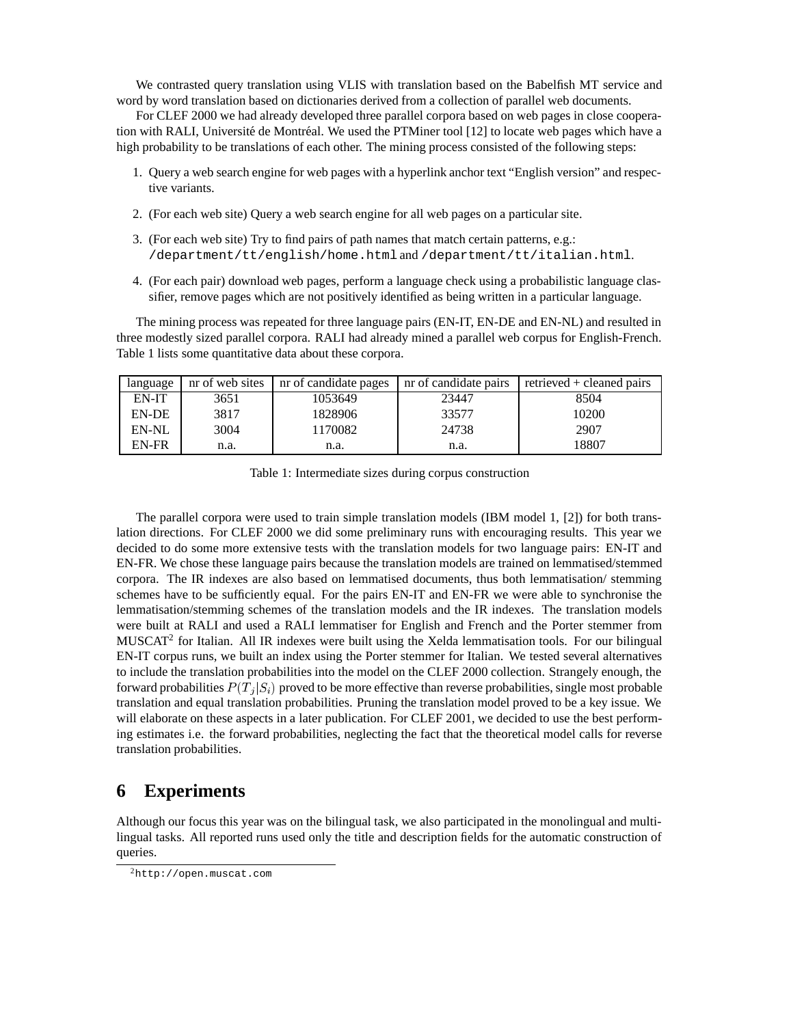We contrasted query translation using VLIS with translation based on the Babelfish MT service and word by word translation based on dictionaries derived from a collection of parallel web documents.

For CLEF 2000 we had already developed three parallel corpora based on web pages in close cooperation with RALI, Université de Montréal. We used the PTMiner tool [12] to locate web pages which have a high probability to be translations of each other. The mining process consisted of the following steps:

- 1. Query a web search engine for web pages with a hyperlink anchor text "English version" and respective variants.
- 2. (For each web site) Query a web search engine for all web pages on a particular site.
- 3. (For each web site) Try to find pairs of path names that match certain patterns, e.g.: /department/tt/english/home.html and /department/tt/italian.html.
- 4. (For each pair) download web pages, perform a language check using a probabilistic language classifier, remove pages which are not positively identified as being written in a particular language.

The mining process was repeated for three language pairs (EN-IT, EN-DE and EN-NL) and resulted in three modestly sized parallel corpora. RALI had already mined a parallel web corpus for English-French. Table 1 lists some quantitative data about these corpora.

| language | nr of web sites | nr of candidate pages | nr of candidate pairs | retrieved $+$ cleaned pairs |
|----------|-----------------|-----------------------|-----------------------|-----------------------------|
| EN-IT    | 3651            | 1053649               | 23447                 | 8504                        |
| EN-DE    | 3817            | 1828906               | 33577                 | 10200                       |
| EN-NL    | 3004            | 1170082               | 24738                 | 2907                        |
| EN-FR    | n.a.            | n.a.                  | n.a.                  | 18807                       |

Table 1: Intermediate sizes during corpus construction

The parallel corpora were used to train simple translation models (IBM model 1, [2]) for both translation directions. For CLEF 2000 we did some preliminary runs with encouraging results. This year we decided to do some more extensive tests with the translation models for two language pairs: EN-IT and EN-FR. We chose these language pairs because the translation models are trained on lemmatised/stemmed corpora. The IR indexes are also based on lemmatised documents, thus both lemmatisation/ stemming schemes have to be sufficiently equal. For the pairs EN-IT and EN-FR we were able to synchronise the lemmatisation/stemming schemes of the translation models and the IR indexes. The translation models were built at RALI and used a RALI lemmatiser for English and French and the Porter stemmer from MUSCAT<sup>2</sup> for Italian. All IR indexes were built using the Xelda lemmatisation tools. For our bilingual EN-IT corpus runs, we built an index using the Porter stemmer for Italian. We tested several alternatives to include the translation probabilities into the model on the CLEF 2000 collection. Strangely enough, the forward probabilities  $P(T_i|S_i)$  proved to be more effective than reverse probabilities, single most probable translation and equal translation probabilities. Pruning the translation model proved to be a key issue. We will elaborate on these aspects in a later publication. For CLEF 2001, we decided to use the best performing estimates i.e. the forward probabilities, neglecting the fact that the theoretical model calls for reverse translation probabilities.

### **6 Experiments**

Although our focus this year was on the bilingual task, we also participated in the monolingual and multilingual tasks. All reported runs used only the title and description fields for the automatic construction of queries.

<sup>2</sup>http://open.muscat.com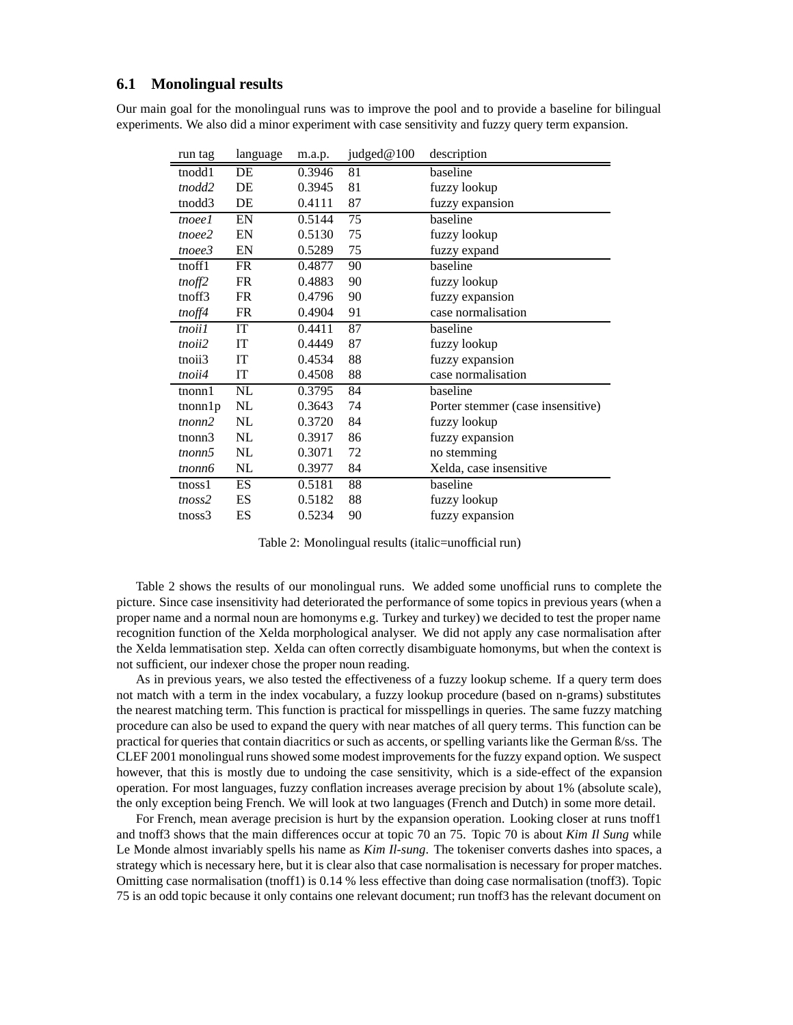#### **6.1 Monolingual results**

Our main goal for the monolingual runs was to improve the pool and to provide a baseline for bilingual experiments. We also did a minor experiment with case sensitivity and fuzzy query term expansion.

| run tag       | language               | m.a.p. | judged@100 | description                       |
|---------------|------------------------|--------|------------|-----------------------------------|
| tnodd1        | DE                     | 0.3946 | 81         | baseline                          |
| tnodd2        | DE                     | 0.3945 | 81         | fuzzy lookup                      |
| tnodd3        | DE                     | 0.4111 | 87         | fuzzy expansion                   |
| tnoee1        | EN                     | 0.5144 | 75         | baseline                          |
| tnoee2        | EN                     | 0.5130 | 75         | fuzzy lookup                      |
| tnoee3        | EN                     | 0.5289 | 75         | fuzzy expand                      |
| tnoff1        | FR                     | 0.4877 | 90         | baseline                          |
| tnoff2        | <b>FR</b>              | 0.4883 | 90         | fuzzy lookup                      |
| tnoff3        | FR                     | 0.4796 | 90         | fuzzy expansion                   |
| tnoff4        | FR                     | 0.4904 | 91         | case normalisation                |
| tnoii1        | IT                     | 0.4411 | 87         | baseline                          |
| tnoii2        | IT                     | 0.4449 | 87         | fuzzy lookup                      |
| tnoii3        | IT                     | 0.4534 | 88         | fuzzy expansion                   |
| tnoii4        | IT                     | 0.4508 | 88         | case normalisation                |
| $t$ nonn $1$  | $\overline{\text{NL}}$ | 0.3795 | 84         | baseline                          |
| $t$ nonn $1p$ | NL                     | 0.3643 | 74         | Porter stemmer (case insensitive) |
| $t$ nonn $2$  | NL                     | 0.3720 | 84         | fuzzy lookup                      |
| $t$ nonn $3$  | NL                     | 0.3917 | 86         | fuzzy expansion                   |
| tnonn5        | NL                     | 0.3071 | 72         | no stemming                       |
| tnonn6        | NL                     | 0.3977 | 84         | Xelda, case insensitive           |
| tnoss1        | ES                     | 0.5181 | 88         | baseline                          |
| tnoss2        | ES                     | 0.5182 | 88         | fuzzy lookup                      |
| tnoss3        | ES                     | 0.5234 | 90         | fuzzy expansion                   |

Table 2: Monolingual results (italic=unofficial run)

Table 2 shows the results of our monolingual runs. We added some unofficial runs to complete the picture. Since case insensitivity had deteriorated the performance of some topics in previous years (when a proper name and a normal noun are homonyms e.g. Turkey and turkey) we decided to test the proper name recognition function of the Xelda morphological analyser. We did not apply any case normalisation after the Xelda lemmatisation step. Xelda can often correctly disambiguate homonyms, but when the context is not sufficient, our indexer chose the proper noun reading.

As in previous years, we also tested the effectiveness of a fuzzy lookup scheme. If a query term does not match with a term in the index vocabulary, a fuzzy lookup procedure (based on n-grams) substitutes the nearest matching term. This function is practical for misspellings in queries. The same fuzzy matching procedure can also be used to expand the query with near matches of all query terms. This function can be practical for queries that contain diacritics or such as accents, or spelling variants like the German ß/ss. The CLEF 2001 monolingual runs showed some modest improvements for the fuzzy expand option. We suspect however, that this is mostly due to undoing the case sensitivity, which is a side-effect of the expansion operation. For most languages, fuzzy conflation increases average precision by about 1% (absolute scale), the only exception being French. We will look at two languages (French and Dutch) in some more detail.

For French, mean average precision is hurt by the expansion operation. Looking closer at runs tnoff1 and tnoff3 shows that the main differences occur at topic 70 an 75. Topic 70 is about *Kim Il Sung* while Le Monde almost invariably spells his name as *Kim Il-sung*. The tokeniser converts dashes into spaces, a strategy which is necessary here, but it is clear also that case normalisation is necessary for proper matches. Omitting case normalisation (tnoff1) is 0.14 % less effective than doing case normalisation (tnoff3). Topic 75 is an odd topic because it only contains one relevant document; run tnoff3 has the relevant document on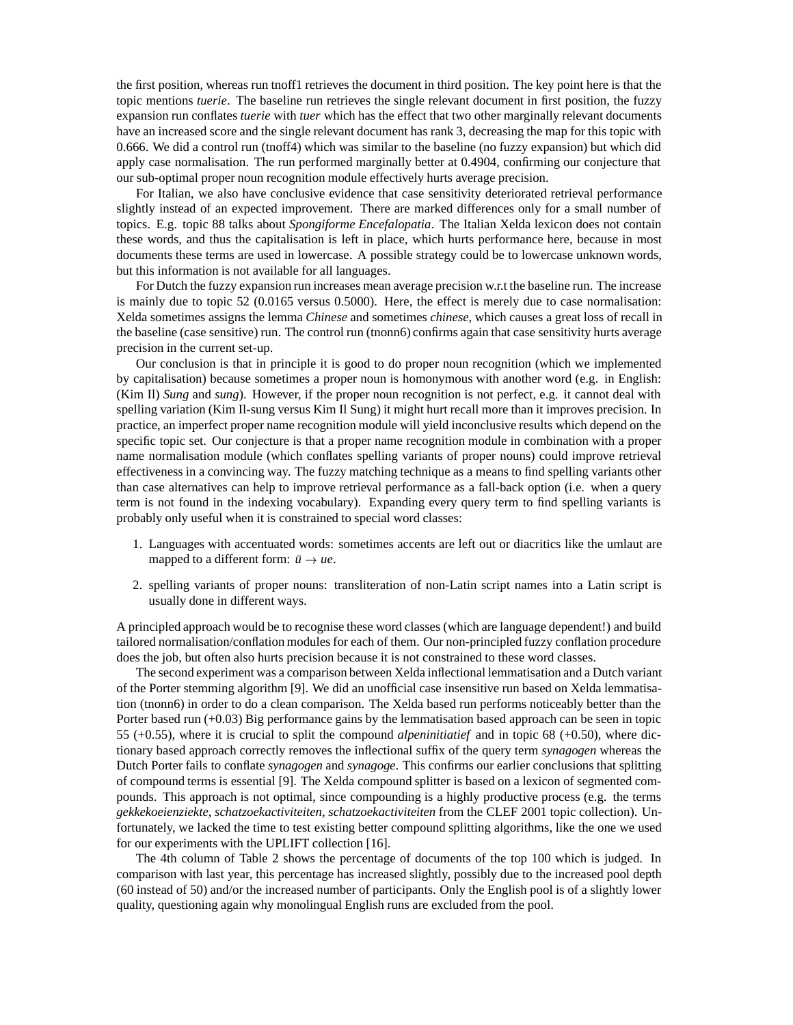the first position, whereas run tnoff1 retrieves the document in third position. The key point here is that the topic mentions *tuerie*. The baseline run retrieves the single relevant document in first position, the fuzzy expansion run conflates *tuerie* with *tuer* which has the effect that two other marginally relevant documents have an increased score and the single relevant document has rank 3, decreasing the map for this topic with 0.666. We did a control run (tnoff4) which was similar to the baseline (no fuzzy expansion) but which did apply case normalisation. The run performed marginally better at 0.4904, confirming our conjecture that our sub-optimal proper noun recognition module effectively hurts average precision.

For Italian, we also have conclusive evidence that case sensitivity deteriorated retrieval performance slightly instead of an expected improvement. There are marked differences only for a small number of topics. E.g. topic 88 talks about *Spongiforme Encefalopatia*. The Italian Xelda lexicon does not contain these words, and thus the capitalisation is left in place, which hurts performance here, because in most documents these terms are used in lowercase. A possible strategy could be to lowercase unknown words, but this information is not available for all languages.

For Dutch the fuzzy expansion run increases mean average precision w.r.t the baseline run. The increase is mainly due to topic 52 (0.0165 versus 0.5000). Here, the effect is merely due to case normalisation: Xelda sometimes assigns the lemma *Chinese* and sometimes *chinese*, which causes a great loss of recall in the baseline (case sensitive) run. The control run (tnonn6) confirms again that case sensitivity hurts average precision in the current set-up.

Our conclusion is that in principle it is good to do proper noun recognition (which we implemented by capitalisation) because sometimes a proper noun is homonymous with another word (e.g. in English: (Kim Il) *Sung* and *sung*). However, if the proper noun recognition is not perfect, e.g. it cannot deal with spelling variation (Kim Il-sung versus Kim Il Sung) it might hurt recall more than it improves precision. In practice, an imperfect proper name recognition module will yield inconclusive results which depend on the specific topic set. Our conjecture is that a proper name recognition module in combination with a proper name normalisation module (which conflates spelling variants of proper nouns) could improve retrieval effectiveness in a convincing way. The fuzzy matching technique as a means to find spelling variants other than case alternatives can help to improve retrieval performance as a fall-back option (i.e. when a query term is not found in the indexing vocabulary). Expanding every query term to find spelling variants is probably only useful when it is constrained to special word classes:

- 1. Languages with accentuated words: sometimes accents are left out or diacritics like the umlaut are mapped to a different form:  $\ddot{u} \rightarrow ue$ .
- 2. spelling variants of proper nouns: transliteration of non-Latin script names into a Latin script is usually done in different ways.

A principled approach would be to recognise these word classes (which are language dependent!) and build tailored normalisation/conflation modules for each of them. Our non-principled fuzzy conflation procedure does the job, but often also hurts precision because it is not constrained to these word classes.

The second experiment was a comparison between Xelda inflectional lemmatisation and a Dutch variant of the Porter stemming algorithm [9]. We did an unofficial case insensitive run based on Xelda lemmatisation (tnonn6) in order to do a clean comparison. The Xelda based run performs noticeably better than the Porter based run (+0.03) Big performance gains by the lemmatisation based approach can be seen in topic 55 (+0.55), where it is crucial to split the compound *alpeninitiatief* and in topic 68 (+0.50), where dictionary based approach correctly removes the inflectional suffix of the query term *synagogen* whereas the Dutch Porter fails to conflate *synagogen* and *synagoge*. This confirms our earlier conclusions that splitting of compound terms is essential [9]. The Xelda compound splitter is based on a lexicon of segmented compounds. This approach is not optimal, since compounding is a highly productive process (e.g. the terms *gekkekoeienziekte*, *schatzoekactiviteiten*, *schatzoekactiviteiten* from the CLEF 2001 topic collection). Unfortunately, we lacked the time to test existing better compound splitting algorithms, like the one we used for our experiments with the UPLIFT collection [16].

The 4th column of Table 2 shows the percentage of documents of the top 100 which is judged. In comparison with last year, this percentage has increased slightly, possibly due to the increased pool depth (60 instead of 50) and/or the increased number of participants. Only the English pool is of a slightly lower quality, questioning again why monolingual English runs are excluded from the pool.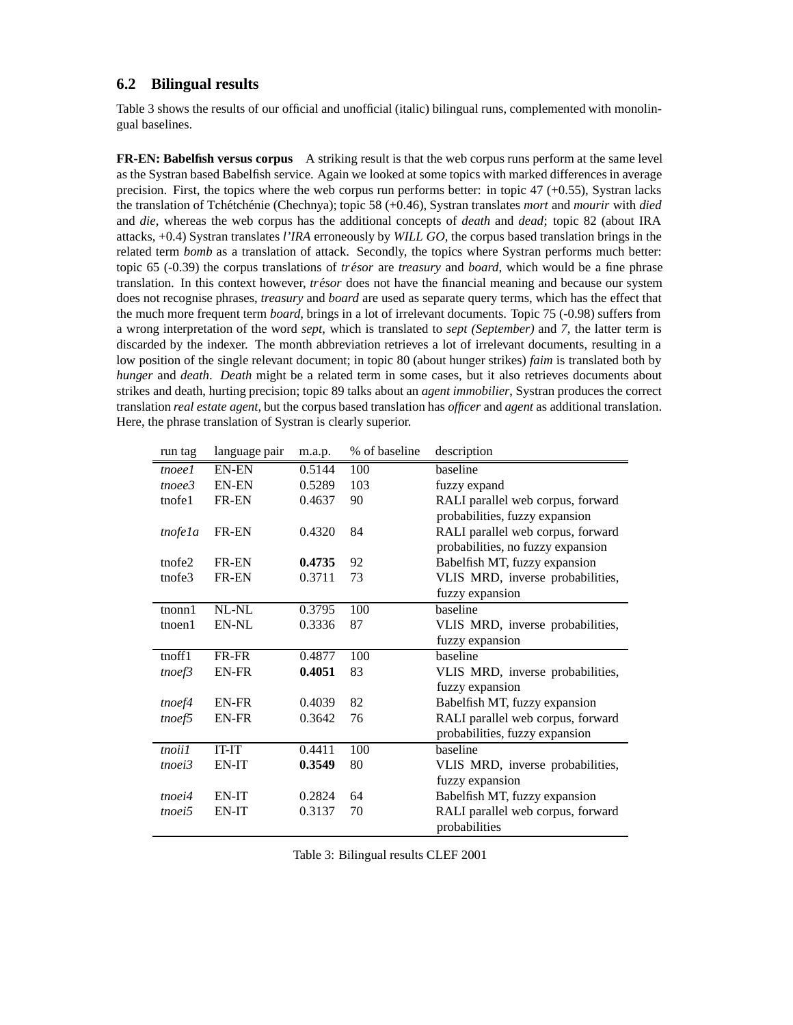#### **6.2 Bilingual results**

Table 3 shows the results of our official and unofficial (italic) bilingual runs, complemented with monolingual baselines.

**FR-EN: Babelfish versus corpus** A striking result is that the web corpus runs perform at the same level as the Systran based Babelfish service. Again we looked at some topics with marked differences in average precision. First, the topics where the web corpus run performs better: in topic 47 (+0.55), Systran lacks the translation of Tchétchénie (Chechnya); topic 58 (+0.46), Systran translates *mort* and *mourir* with *died* and *die*, whereas the web corpus has the additional concepts of *death* and *dead*; topic 82 (about IRA attacks, +0.4) Systran translates *l'IRA* erroneously by *WILL GO*, the corpus based translation brings in the related term *bomb* as a translation of attack. Secondly, the topics where Systran performs much better: topic 65 (-0.39) the corpus translations of *trésor* are *treasury* and *board*, which would be a fine phrase translation. In this context however, *trésor* does not have the financial meaning and because our system does not recognise phrases, *treasury* and *board* are used as separate query terms, which has the effect that the much more frequent term *board*, brings in a lot of irrelevant documents. Topic 75 (-0.98) suffers from a wrong interpretation of the word *sept*, which is translated to *sept (September)* and *7*, the latter term is discarded by the indexer. The month abbreviation retrieves a lot of irrelevant documents, resulting in a low position of the single relevant document; in topic 80 (about hunger strikes) *faim* is translated both by *hunger* and *death*. *Death* might be a related term in some cases, but it also retrieves documents about strikes and death, hurting precision; topic 89 talks about an *agent immobilier*, Systran produces the correct translation *real estate agent*, but the corpus based translation has *officer* and *agent* as additional translation. Here, the phrase translation of Systran is clearly superior.

| run tag             | language pair | m.a.p. | % of baseline | description                       |  |
|---------------------|---------------|--------|---------------|-----------------------------------|--|
| tnoee l             | <b>EN-EN</b>  | 0.5144 | 100           | baseline                          |  |
| tnoee3              | <b>EN-EN</b>  | 0.5289 | 103           | fuzzy expand                      |  |
| tnofe1              | <b>FR-EN</b>  | 0.4637 | 90            | RALI parallel web corpus, forward |  |
|                     |               |        |               | probabilities, fuzzy expansion    |  |
| tnofe <sub>la</sub> | <b>FR-EN</b>  | 0.4320 | 84            | RALI parallel web corpus, forward |  |
|                     |               |        |               | probabilities, no fuzzy expansion |  |
| tnofe <sub>2</sub>  | <b>FR-EN</b>  | 0.4735 | 92            | Babelfish MT, fuzzy expansion     |  |
| tnofe3              | <b>FR-EN</b>  | 0.3711 | 73            | VLIS MRD, inverse probabilities,  |  |
|                     |               |        |               | fuzzy expansion                   |  |
| $t$ nonn $1$        | NL-NL         | 0.3795 | 100           | baseline                          |  |
| tnoen1              | EN-NL         | 0.3336 | 87            | VLIS MRD, inverse probabilities,  |  |
|                     |               |        |               | fuzzy expansion                   |  |
| tnoff1              | FR-FR         | 0.4877 | 100           | baseline                          |  |
| tnoef3              | <b>EN-FR</b>  | 0.4051 | 83            | VLIS MRD, inverse probabilities,  |  |
|                     |               |        |               | fuzzy expansion                   |  |
| tnoef4              | <b>EN-FR</b>  | 0.4039 | 82            | Babelfish MT, fuzzy expansion     |  |
| tnoef5              | EN-FR         | 0.3642 | 76            | RALI parallel web corpus, forward |  |
|                     |               |        |               | probabilities, fuzzy expansion    |  |
| tnoii1              | <b>IT-IT</b>  | 0.4411 | 100           | baseline                          |  |
| tnoei3              | EN-IT         | 0.3549 | 80            | VLIS MRD, inverse probabilities,  |  |
|                     |               |        |               | fuzzy expansion                   |  |
| tnoei4              | EN-IT         | 0.2824 | 64            | Babelfish MT, fuzzy expansion     |  |
| tnoei5              | EN-IT         | 0.3137 | 70            | RALI parallel web corpus, forward |  |
|                     |               |        |               | probabilities                     |  |

Table 3: Bilingual results CLEF 2001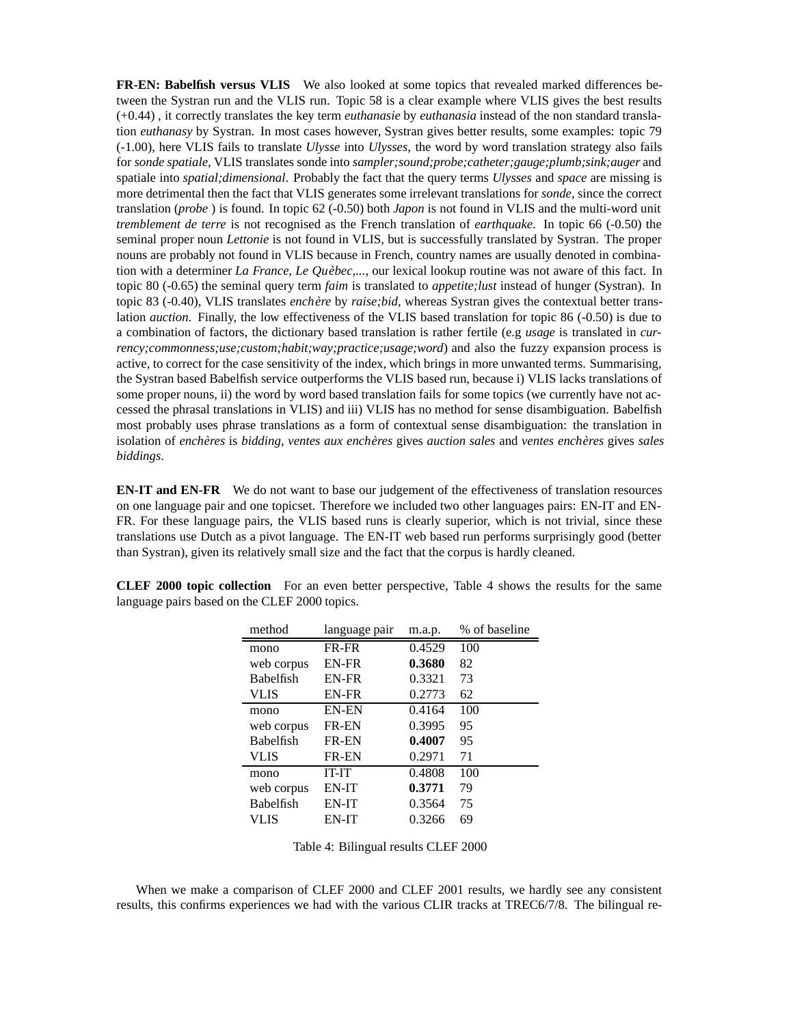**FR-EN: Babelfish versus VLIS** We also looked at some topics that revealed marked differences between the Systran run and the VLIS run. Topic 58 is a clear example where VLIS gives the best results (+0.44) , it correctly translates the key term *euthanasie* by *euthanasia* instead of the non standard translation *euthanasy* by Systran. In most cases however, Systran gives better results, some examples: topic 79 (-1.00), here VLIS fails to translate *Ulysse* into *Ulysses*, the word by word translation strategy also fails for *sonde spatiale*, VLIS translates sonde into *sampler;sound;probe;catheter;gauge;plumb;sink;auger* and spatiale into *spatial;dimensional*. Probably the fact that the query terms *Ulysses* and *space* are missing is more detrimental then the fact that VLIS generates some irrelevant translations for *sonde*, since the correct translation (*probe* ) is found. In topic 62 (-0.50) both *Japon* is not found in VLIS and the multi-word unit *tremblement de terre* is not recognised as the French translation of *earthquake*. In topic 66 (-0.50) the seminal proper noun *Lettonie* is not found in VLIS, but is successfully translated by Systran. The proper nouns are probably not found in VLIS because in French, country names are usually denoted in combination with a determiner *La France, Le Quèbec,...*, our lexical lookup routine was not aware of this fact. In topic 80 (-0.65) the seminal query term *faim* is translated to *appetite;lust* instead of hunger (Systran). In topic 83 (-0.40), VLIS translates *enchère* by *raise;bid*, whereas Systran gives the contextual better translation *auction*. Finally, the low effectiveness of the VLIS based translation for topic 86 (-0.50) is due to a combination of factors, the dictionary based translation is rather fertile (e.g *usage* is translated in *currency;commonness;use;custom;habit;way;practice;usage;word*) and also the fuzzy expansion process is active, to correct for the case sensitivity of the index, which brings in more unwanted terms. Summarising, the Systran based Babelfish service outperforms the VLIS based run, because i) VLIS lacks translations of some proper nouns, ii) the word by word based translation fails for some topics (we currently have not accessed the phrasal translations in VLIS) and iii) VLIS has no method for sense disambiguation. Babelfish most probably uses phrase translations as a form of contextual sense disambiguation: the translation in isolation of *encheres `* is *bidding*, *ventes aux encheres `* gives *auction sales* and *ventes encheres `* gives *sales biddings*.

**EN-IT and EN-FR** We do not want to base our judgement of the effectiveness of translation resources on one language pair and one topicset. Therefore we included two other languages pairs: EN-IT and EN-FR. For these language pairs, the VLIS based runs is clearly superior, which is not trivial, since these translations use Dutch as a pivot language. The EN-IT web based run performs surprisingly good (better than Systran), given its relatively small size and the fact that the corpus is hardly cleaned.

| method           | language pair | m.a.p. | % of baseline |
|------------------|---------------|--------|---------------|
| mono             | FR-FR         | 0.4529 | 100           |
| web corpus       | EN-FR         | 0.3680 | 82            |
| <b>Babelfish</b> | EN-FR         | 0.3321 | 73            |
| VLIS             | EN-FR         | 0.2773 | 62            |
| mono             | <b>EN-EN</b>  | 0.4164 | 100           |
| web corpus       | <b>FR-EN</b>  | 0.3995 | 95            |
| <b>Babelfish</b> | <b>FR-EN</b>  | 0.4007 | 95            |
| VLIS             | <b>FR-EN</b>  | 0.2971 | 71            |
| mono             | IT-IT         | 0.4808 | 100           |
| web corpus       | EN-IT         | 0.3771 | 79            |
| <b>Babelfish</b> | EN-IT         | 0.3564 | 75            |
| VLIS             | EN-IT         | 0.3266 | 69            |

**CLEF 2000 topic collection** For an even better perspective, Table 4 shows the results for the same language pairs based on the CLEF 2000 topics.

Table 4: Bilingual results CLEF 2000

When we make a comparison of CLEF 2000 and CLEF 2001 results, we hardly see any consistent results, this confirms experiences we had with the various CLIR tracks at TREC6/7/8. The bilingual re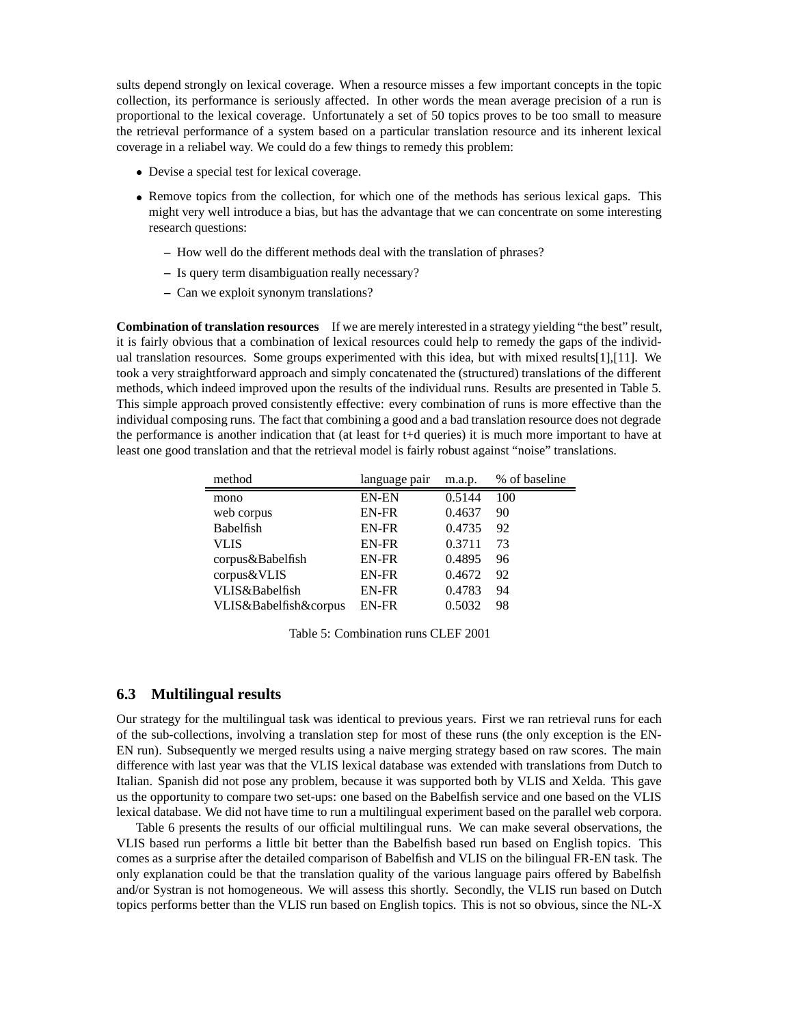sults depend strongly on lexical coverage. When a resource misses a few important concepts in the topic collection, its performance is seriously affected. In other words the mean average precision of a run is proportional to the lexical coverage. Unfortunately a set of 50 topics proves to be too small to measure the retrieval performance of a system based on a particular translation resource and its inherent lexical coverage in a reliabel way. We could do a few things to remedy this problem:

- Devise a special test for lexical coverage.
- Remove topics from the collection, for which one of the methods has serious lexical gaps. This might very well introduce a bias, but has the advantage that we can concentrate on some interesting research questions:
	- **–** How well do the different methods deal with the translation of phrases?
	- **–** Is query term disambiguation really necessary?
	- **–** Can we exploit synonym translations?

**Combination of translation resources** If we are merely interested in a strategy yielding "the best" result, it is fairly obvious that a combination of lexical resources could help to remedy the gaps of the individual translation resources. Some groups experimented with this idea, but with mixed results[1],[11]. We took a very straightforward approach and simply concatenated the (structured) translations of the different methods, which indeed improved upon the results of the individual runs. Results are presented in Table 5. This simple approach proved consistently effective: every combination of runs is more effective than the individual composing runs. The fact that combining a good and a bad translation resource does not degrade the performance is another indication that (at least for t+d queries) it is much more important to have at least one good translation and that the retrieval model is fairly robust against "noise" translations.

| method                | language pair | m.a.p. | % of baseline |
|-----------------------|---------------|--------|---------------|
| mono                  | <b>EN-EN</b>  | 0.5144 | 100           |
| web corpus            | EN-FR         | 0.4637 | 90            |
| Babelfish             | EN-FR         | 0.4735 | 92            |
| <b>VLIS</b>           | EN-FR         | 0.3711 | 73            |
| corpus&Babelfish      | EN-FR         | 0.4895 | 96            |
| corpus&VLIS           | EN-FR         | 0.4672 | 92            |
| VLIS&Babelfish        | EN-FR         | 0.4783 | 94            |
| VLIS&Babelfish&corpus | <b>EN-FR</b>  | 0.5032 | 98            |

Table 5: Combination runs CLEF 2001

#### **6.3 Multilingual results**

Our strategy for the multilingual task was identical to previous years. First we ran retrieval runs for each of the sub-collections, involving a translation step for most of these runs (the only exception is the EN-EN run). Subsequently we merged results using a naive merging strategy based on raw scores. The main difference with last year was that the VLIS lexical database was extended with translations from Dutch to Italian. Spanish did not pose any problem, because it was supported both by VLIS and Xelda. This gave us the opportunity to compare two set-ups: one based on the Babelfish service and one based on the VLIS lexical database. We did not have time to run a multilingual experiment based on the parallel web corpora.

Table 6 presents the results of our official multilingual runs. We can make several observations, the VLIS based run performs a little bit better than the Babelfish based run based on English topics. This comes as a surprise after the detailed comparison of Babelfish and VLIS on the bilingual FR-EN task. The only explanation could be that the translation quality of the various language pairs offered by Babelfish and/or Systran is not homogeneous. We will assess this shortly. Secondly, the VLIS run based on Dutch topics performs better than the VLIS run based on English topics. This is not so obvious, since the NL-X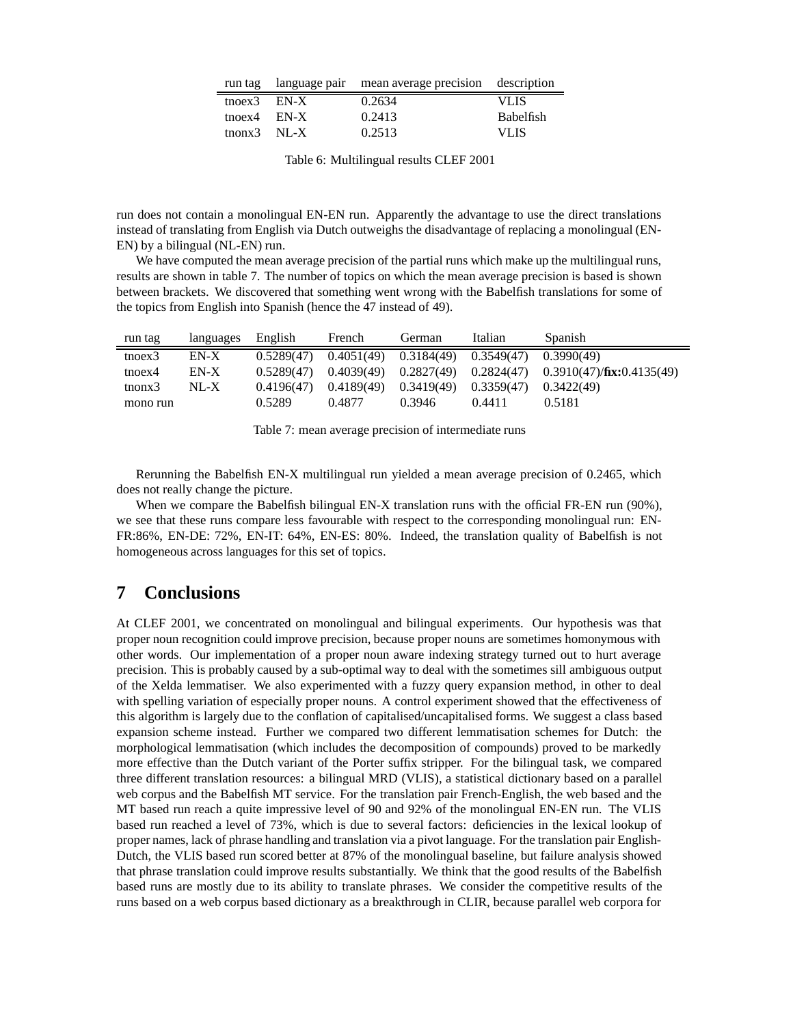|                   | run tag language pair mean average precision description |                  |
|-------------------|----------------------------------------------------------|------------------|
| tnoex $3$ EN-X    | 0.2634                                                   | VLIS.            |
| $t$ noex $4$ EN-X | 0.2413                                                   | <b>Babelfish</b> |
| thonx $3$ NL-X    | 0.2513                                                   | VLIS             |

Table 6: Multilingual results CLEF 2001

run does not contain a monolingual EN-EN run. Apparently the advantage to use the direct translations instead of translating from English via Dutch outweighs the disadvantage of replacing a monolingual (EN-EN) by a bilingual (NL-EN) run.

We have computed the mean average precision of the partial runs which make up the multilingual runs, results are shown in table 7. The number of topics on which the mean average precision is based is shown between brackets. We discovered that something went wrong with the Babelfish translations for some of the topics from English into Spanish (hence the 47 instead of 49).

| run tag      | languages | English    | French | German                                              | Italian | <b>Spanish</b>                                                                  |
|--------------|-----------|------------|--------|-----------------------------------------------------|---------|---------------------------------------------------------------------------------|
| $t$ noex $3$ | $EN-X$    | 0.5289(47) |        | $0.4051(49)$ $0.3184(49)$ $0.3549(47)$ $0.3990(49)$ |         |                                                                                 |
| $t$ noex $4$ | EN-X      | 0.5289(47) |        |                                                     |         | $0.4039(49)$ $0.2827(49)$ $0.2824(47)$ $0.3910(47)/\mathbf{fix}$ : $0.4135(49)$ |
| tnonx3       | $NI - X$  | 0.4196(47) |        | $0.4189(49)$ $0.3419(49)$ $0.3359(47)$              |         | 0.3422(49)                                                                      |
| mono run     |           | 0.5289     | 0.4877 | 0.3946                                              | 0.4411  | 0.5181                                                                          |

Table 7: mean average precision of intermediate runs

Rerunning the Babelfish EN-X multilingual run yielded a mean average precision of 0.2465, which does not really change the picture.

When we compare the Babelfish bilingual EN-X translation runs with the official FR-EN run (90%), we see that these runs compare less favourable with respect to the corresponding monolingual run: EN-FR:86%, EN-DE: 72%, EN-IT: 64%, EN-ES: 80%. Indeed, the translation quality of Babelfish is not homogeneous across languages for this set of topics.

# **7 Conclusions**

At CLEF 2001, we concentrated on monolingual and bilingual experiments. Our hypothesis was that proper noun recognition could improve precision, because proper nouns are sometimes homonymous with other words. Our implementation of a proper noun aware indexing strategy turned out to hurt average precision. This is probably caused by a sub-optimal way to deal with the sometimes sill ambiguous output of the Xelda lemmatiser. We also experimented with a fuzzy query expansion method, in other to deal with spelling variation of especially proper nouns. A control experiment showed that the effectiveness of this algorithm is largely due to the conflation of capitalised/uncapitalised forms. We suggest a class based expansion scheme instead. Further we compared two different lemmatisation schemes for Dutch: the morphological lemmatisation (which includes the decomposition of compounds) proved to be markedly more effective than the Dutch variant of the Porter suffix stripper. For the bilingual task, we compared three different translation resources: a bilingual MRD (VLIS), a statistical dictionary based on a parallel web corpus and the Babelfish MT service. For the translation pair French-English, the web based and the MT based run reach a quite impressive level of 90 and 92% of the monolingual EN-EN run. The VLIS based run reached a level of 73%, which is due to several factors: deficiencies in the lexical lookup of proper names, lack of phrase handling and translation via a pivot language. For the translation pair English-Dutch, the VLIS based run scored better at 87% of the monolingual baseline, but failure analysis showed that phrase translation could improve results substantially. We think that the good results of the Babelfish based runs are mostly due to its ability to translate phrases. We consider the competitive results of the runs based on a web corpus based dictionary as a breakthrough in CLIR, because parallel web corpora for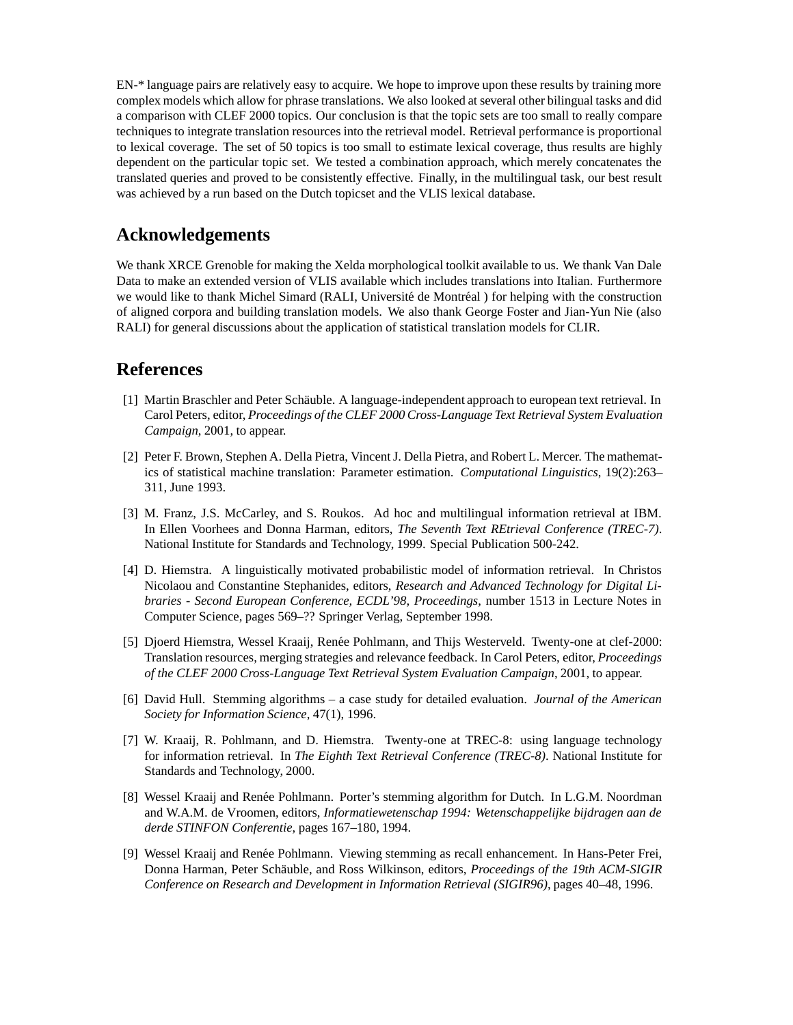EN-\* language pairs are relatively easy to acquire. We hope to improve upon these results by training more complex models which allow for phrase translations. We also looked at several other bilingual tasks and did a comparison with CLEF 2000 topics. Our conclusion is that the topic sets are too small to really compare techniques to integrate translation resources into the retrieval model. Retrieval performance is proportional to lexical coverage. The set of 50 topics is too small to estimate lexical coverage, thus results are highly dependent on the particular topic set. We tested a combination approach, which merely concatenates the translated queries and proved to be consistently effective. Finally, in the multilingual task, our best result was achieved by a run based on the Dutch topicset and the VLIS lexical database.

## **Acknowledgements**

We thank XRCE Grenoble for making the Xelda morphological toolkit available to us. We thank Van Dale Data to make an extended version of VLIS available which includes translations into Italian. Furthermore we would like to thank Michel Simard (RALI, Université de Montréal) for helping with the construction of aligned corpora and building translation models. We also thank George Foster and Jian-Yun Nie (also RALI) for general discussions about the application of statistical translation models for CLIR.

#### **References**

- [1] Martin Braschler and Peter Schäuble. A language-independent approach to european text retrieval. In Carol Peters, editor, *Proceedings of the CLEF 2000 Cross-Language Text Retrieval System Evaluation Campaign*, 2001, to appear.
- [2] Peter F. Brown, Stephen A. Della Pietra, Vincent J. Della Pietra, and Robert L. Mercer. The mathematics of statistical machine translation: Parameter estimation. *Computational Linguistics*, 19(2):263– 311, June 1993.
- [3] M. Franz, J.S. McCarley, and S. Roukos. Ad hoc and multilingual information retrieval at IBM. In Ellen Voorhees and Donna Harman, editors, *The Seventh Text REtrieval Conference (TREC-7)*. National Institute for Standards and Technology, 1999. Special Publication 500-242.
- [4] D. Hiemstra. A linguistically motivated probabilistic model of information retrieval. In Christos Nicolaou and Constantine Stephanides, editors, *Research and Advanced Technology for Digital Libraries - Second European Conference, ECDL'98, Proceedings*, number 1513 in Lecture Notes in Computer Science, pages 569–?? Springer Verlag, September 1998.
- [5] Djoerd Hiemstra, Wessel Kraaij, Renée Pohlmann, and Thijs Westerveld. Twenty-one at clef-2000: Translation resources, merging strategies and relevance feedback. In Carol Peters, editor, *Proceedings of the CLEF 2000 Cross-Language Text Retrieval System Evaluation Campaign*, 2001, to appear.
- [6] David Hull. Stemming algorithms a case study for detailed evaluation. *Journal of the American Society for Information Science*, 47(1), 1996.
- [7] W. Kraaij, R. Pohlmann, and D. Hiemstra. Twenty-one at TREC-8: using language technology for information retrieval. In *The Eighth Text Retrieval Conference (TREC-8)*. National Institute for Standards and Technology, 2000.
- [8] Wessel Kraaij and Renée Pohlmann. Porter's stemming algorithm for Dutch. In L.G.M. Noordman and W.A.M. de Vroomen, editors, *Informatiewetenschap 1994: Wetenschappelijke bijdragen aan de derde STINFON Conferentie*, pages 167–180, 1994.
- [9] Wessel Kraaij and Ren´ee Pohlmann. Viewing stemming as recall enhancement. In Hans-Peter Frei, Donna Harman, Peter Schäuble, and Ross Wilkinson, editors, *Proceedings of the 19th ACM-SIGIR Conference on Research and Development in Information Retrieval (SIGIR96)*, pages 40–48, 1996.